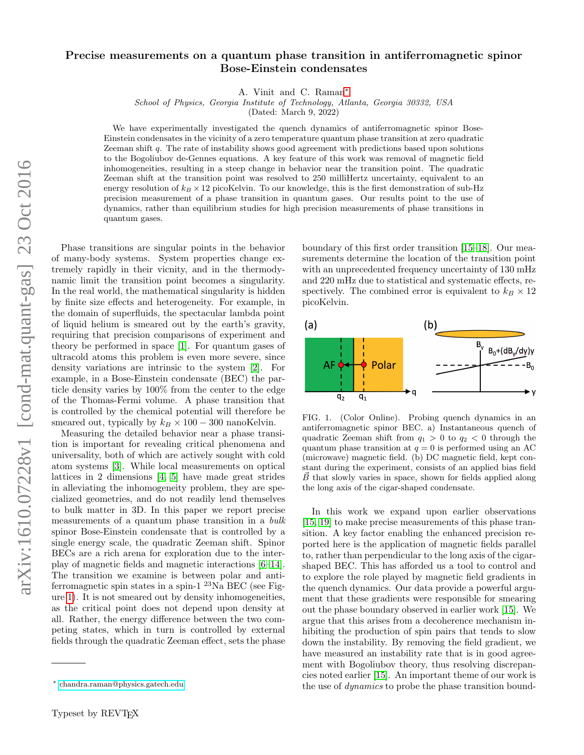## Precise measurements on a quantum phase transition in antiferromagnetic spinor Bose-Einstein condensates

A. Vinit and C. Raman[∗](#page-0-0)

School of Physics, Georgia Institute of Technology, Atlanta, Georgia 30332, USA

(Dated: March 9, 2022)

We have experimentally investigated the quench dynamics of antiferromagnetic spinor Bose-Einstein condensates in the vicinity of a zero temperature quantum phase transition at zero quadratic Zeeman shift q. The rate of instability shows good agreement with predictions based upon solutions to the Bogoliubov de-Gennes equations. A key feature of this work was removal of magnetic field inhomogeneities, resulting in a steep change in behavior near the transition point. The quadratic Zeeman shift at the transition point was resolved to 250 milliHertz uncertainty, equivalent to an energy resolution of  $k_B \times 12$  picoKelvin. To our knowledge, this is the first demonstration of sub-Hz precision measurement of a phase transition in quantum gases. Our results point to the use of dynamics, rather than equilibrium studies for high precision measurements of phase transitions in quantum gases.

Phase transitions are singular points in the behavior of many-body systems. System properties change extremely rapidly in their vicnity, and in the thermodynamic limit the transition point becomes a singularity. In the real world, the mathematical singularity is hidden by finite size effects and heterogeneity. For example, in the domain of superfluids, the spectacular lambda point of liquid helium is smeared out by the earth's gravity, requiring that precision comparisons of experiment and theory be performed in space [\[1\]](#page-4-0). For quantum gases of ultracold atoms this problem is even more severe, since density variations are intrinsic to the system [\[2\]](#page-4-1). For example, in a Bose-Einstein condensate (BEC) the particle density varies by 100% from the center to the edge of the Thomas-Fermi volume. A phase transition that is controlled by the chemical potential will therefore be smeared out, typically by  $k_B \times 100 - 300$  nanoKelvin.

Measuring the detailed behavior near a phase transition is important for revealing critical phenomena and universality, both of which are actively sought with cold atom systems [\[3\]](#page-4-2). While local measurements on optical lattices in 2 dimensions [\[4,](#page-4-3) [5\]](#page-4-4) have made great strides in alleviating the inhomogeneity problem, they are specialized geometries, and do not readily lend themselves to bulk matter in 3D. In this paper we report precise measurements of a quantum phase transition in a bulk spinor Bose-Einstein condensate that is controlled by a single energy scale, the quadratic Zeeman shift. Spinor BECs are a rich arena for exploration due to the interplay of magnetic fields and magnetic interactions [\[6–](#page-4-5)[14\]](#page-4-6). The transition we examine is between polar and antiferromagnetic spin states in a spin-1<sup>23</sup>Na BEC (see Figure [1\)](#page-0-1). It is not smeared out by density inhomogeneities, as the critical point does not depend upon density at all. Rather, the energy difference between the two competing states, which in turn is controlled by external fields through the quadratic Zeeman effect, sets the phase

boundary of this first order transition [\[15–](#page-4-7)[18\]](#page-4-8). Our measurements determine the location of the transition point with an unprecedented frequency uncertainty of 130 mHz and 220 mHz due to statistical and systematic effects, respectively. The combined error is equivalent to  $k_B \times 12$ picoKelvin.



<span id="page-0-1"></span>FIG. 1. (Color Online). Probing quench dynamics in an antiferromagnetic spinor BEC. a) Instantaneous quench of quadratic Zeeman shift from  $q_1 > 0$  to  $q_2 < 0$  through the quantum phase transition at  $q = 0$  is performed using an AC (microwave) magnetic field. (b) DC magnetic field, kept constant during the experiment, consists of an applied bias field  $\overrightarrow{B}$  that slowly varies in space, shown for fields applied along the long axis of the cigar-shaped condensate.

In this work we expand upon earlier observations [\[15,](#page-4-7) [19\]](#page-4-9) to make precise measurements of this phase transition. A key factor enabling the enhanced precision reported here is the application of magnetic fields parallel to, rather than perpendicular to the long axis of the cigarshaped BEC. This has afforded us a tool to control and to explore the role played by magnetic field gradients in the quench dynamics. Our data provide a powerful argument that these gradients were responsible for smearing out the phase boundary observed in earlier work [\[15\]](#page-4-7). We argue that this arises from a decoherence mechanism inhibiting the production of spin pairs that tends to slow down the instability. By removing the field gradient, we have measured an instability rate that is in good agreement with Bogoliubov theory, thus resolving discrepancies noted earlier [\[15\]](#page-4-7). An important theme of our work is the use of *dynamics* to probe the phase transition bound-

<span id="page-0-0"></span><sup>∗</sup> [chandra.raman@physics.gatech.edu](mailto:chandra.raman@physics.gatech.edu)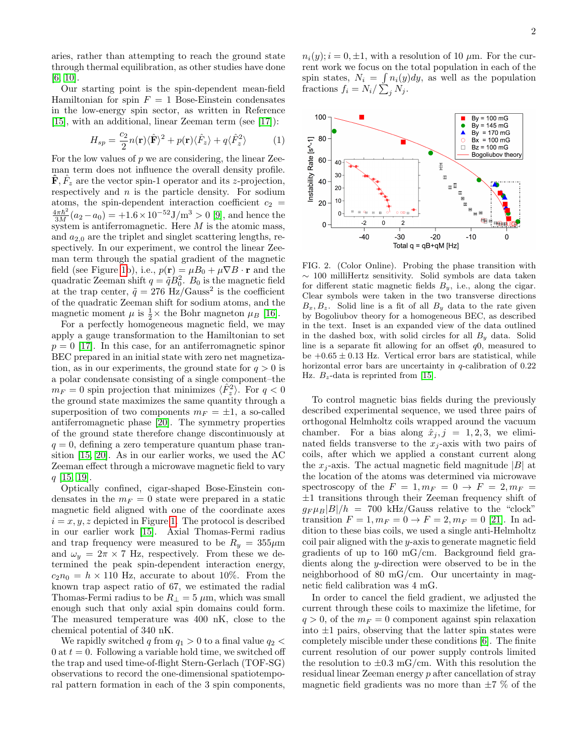aries, rather than attempting to reach the ground state through thermal equilibration, as other studies have done [\[6,](#page-4-5) [10\]](#page-4-10).

Our starting point is the spin-dependent mean-field Hamiltonian for spin  $F = 1$  Bose-Einstein condensates in the low-energy spin sector, as written in Reference [\[15\]](#page-4-7), with an additional, linear Zeeman term (see [\[17\]](#page-4-11)):

$$
H_{sp} = \frac{c_2}{2} n(\mathbf{r}) \langle \hat{\mathbf{F}} \rangle^2 + p(\mathbf{r}) \langle \hat{F}_z \rangle + q \langle \hat{F}_z^2 \rangle \tag{1}
$$

For the low values of  $p$  we are considering, the linear Zeeman term does not influence the overall density profile.  $\mathbf{\hat{F}}$ ,  $\hat{F}_z$  are the vector spin-1 operator and its z-projection, respectively and  $n$  is the particle density. For sodium atoms, the spin-dependent interaction coefficient  $c_2$  =  $\frac{4\pi\hbar^2}{3M}(a_2-a_0) = +1.6 \times 10^{-52} \text{J/m}^3 > 0$  [\[9\]](#page-4-12), and hence the system is antiferromagnetic. Here  $M$  is the atomic mass, and  $a_{2,0}$  are the triplet and singlet scattering lengths, respectively. In our experiment, we control the linear Zeeman term through the spatial gradient of the magnetic field (see Figure [1b](#page-0-1)), i.e.,  $p(\mathbf{r}) = \mu B_0 + \mu \nabla B \cdot \mathbf{r}$  and the quadratic Zeeman shift  $q = \tilde{q}B_0^2$ .  $B_0$  is the magnetic field at the trap center,  $\tilde{q} = 276$  Hz/Gauss<sup>2</sup> is the coefficient of the quadratic Zeeman shift for sodium atoms, and the magnetic moment  $\mu$  is  $\frac{1}{2} \times$  the Bohr magneton  $\mu_B$  [\[16\]](#page-4-13).

For a perfectly homogeneous magnetic field, we may apply a gauge transformation to the Hamiltonian to set  $p = 0$  [\[17\]](#page-4-11). In this case, for an antiferromagnetic spinor BEC prepared in an initial state with zero net magnetization, as in our experiments, the ground state for  $q > 0$  is a polar condensate consisting of a single component–the  $m_F = 0$  spin projection that minimizes  $\langle \hat{F}_z^2 \rangle$ . For  $q < 0$ the ground state maximizes the same quantity through a superposition of two components  $m_F = \pm 1$ , a so-called antiferromagnetic phase [\[20\]](#page-4-14). The symmetry properties of the ground state therefore change discontinuously at  $q = 0$ , defining a zero temperature quantum phase transition [\[15,](#page-4-7) [20\]](#page-4-14). As in our earlier works, we used the AC Zeeman effect through a microwave magnetic field to vary  $q$  [\[15,](#page-4-7) [19\]](#page-4-9).

Optically confined, cigar-shaped Bose-Einstein condensates in the  $m_F = 0$  state were prepared in a static magnetic field aligned with one of the coordinate axes  $i = x, y, z$  depicted in Figure [1.](#page-0-1) The protocol is described in our earlier work [\[15\]](#page-4-7). Axial Thomas-Fermi radius and trap frequency were measured to be  $R_y = 355 \mu m$ and  $\omega_y = 2\pi \times 7$  Hz, respectively. From these we determined the peak spin-dependent interaction energy,  $c_2n_0 = h \times 110$  Hz, accurate to about 10%. From the known trap aspect ratio of 67, we estimated the radial Thomas-Fermi radius to be  $R_{\perp} = 5 \mu m$ , which was small enough such that only axial spin domains could form. The measured temperature was 400 nK, close to the chemical potential of 340 nK.

We rapidly switched q from  $q_1 > 0$  to a final value  $q_2 <$ 0 at  $t = 0$ . Following a variable hold time, we switched off the trap and used time-of-flight Stern-Gerlach (TOF-SG) observations to record the one-dimensional spatiotemporal pattern formation in each of the 3 spin components,

 $n_i(y); i = 0, \pm 1$ , with a resolution of 10  $\mu$ m. For the current work we focus on the total population in each of the spin states,  $N_i = \int n_i(y)dy$ , as well as the population fractions  $f_i = N_i / \sum_j N_j$ .



<span id="page-1-0"></span>FIG. 2. (Color Online). Probing the phase transition with ∼ 100 milliHertz sensitivity. Solid symbols are data taken for different static magnetic fields  $B_y$ , i.e., along the cigar. Clear symbols were taken in the two transverse directions  $B_x, B_z$ . Solid line is a fit of all  $B_y$  data to the rate given by Bogoliubov theory for a homogeneous BEC, as described in the text. Inset is an expanded view of the data outlined in the dashed box, with solid circles for all  $B<sub>y</sub>$  data. Solid line is a separate fit allowing for an offset  $q0$ , measured to be  $+0.65 \pm 0.13$  Hz. Vertical error bars are statistical, while horizontal error bars are uncertainty in q-calibration of 0.22 Hz.  $B_z$ -data is reprinted from [\[15\]](#page-4-7).

To control magnetic bias fields during the previously described experimental sequence, we used three pairs of orthogonal Helmholtz coils wrapped around the vacuum chamber. For a bias along  $\hat{x}_j$ ,  $j = 1, 2, 3$ , we eliminated fields transverse to the  $x_j$ -axis with two pairs of coils, after which we applied a constant current along the  $x_i$ -axis. The actual magnetic field magnitude |B| at the location of the atoms was determined via microwave spectroscopy of the  $F = 1$ ,  $m_F = 0 \rightarrow F = 2$ ,  $m_F =$  $\pm 1$  transitions through their Zeeman frequency shift of  $g_F \mu_B |B|/h = 700$  kHz/Gauss relative to the "clock" transition  $F = 1, m_F = 0 \to F = 2, m_F = 0$  [\[21\]](#page-4-15). In addition to these bias coils, we used a single anti-Helmholtz coil pair aligned with the y-axis to generate magnetic field gradients of up to 160 mG/cm. Background field gradients along the y-direction were observed to be in the neighborhood of 80 mG/cm. Our uncertainty in magnetic field calibration was 4 mG.

In order to cancel the field gradient, we adjusted the current through these coils to maximize the lifetime, for  $q > 0$ , of the  $m_F = 0$  component against spin relaxation into  $\pm 1$  pairs, observing that the latter spin states were completely miscible under these conditions [\[6\]](#page-4-5). The finite current resolution of our power supply controls limited the resolution to  $\pm 0.3$  mG/cm. With this resolution the residual linear Zeeman energy p after cancellation of stray magnetic field gradients was no more than  $\pm 7$  % of the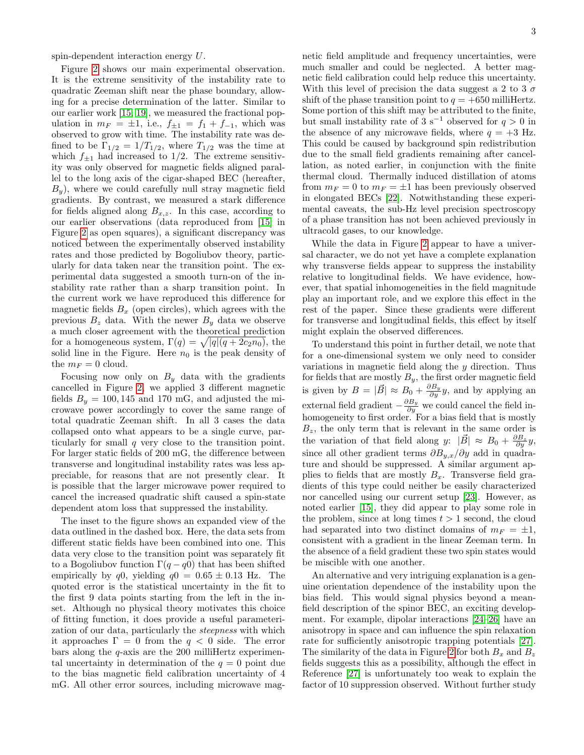spin-dependent interaction energy U.

Figure [2](#page-1-0) shows our main experimental observation. It is the extreme sensitivity of the instability rate to quadratic Zeeman shift near the phase boundary, allowing for a precise determination of the latter. Similar to our earlier work [\[15,](#page-4-7) [19\]](#page-4-9), we measured the fractional population in  $m_F = \pm 1$ , i.e.,  $f_{\pm 1} = f_1 + f_{-1}$ , which was observed to grow with time. The instability rate was defined to be  $\Gamma_{1/2} = 1/T_{1/2}$ , where  $T_{1/2}$  was the time at which  $f_{\pm 1}$  had increased to 1/2. The extreme sensitivity was only observed for magnetic fields aligned parallel to the long axis of the cigar-shaped BEC (hereafter,  $B_y$ ), where we could carefully null stray magnetic field gradients. By contrast, we measured a stark difference for fields aligned along  $B_{x,z}$ . In this case, according to our earlier observations (data reproduced from [\[15\]](#page-4-7) in Figure [2](#page-1-0) as open squares), a significant discrepancy was noticed between the experimentally observed instability rates and those predicted by Bogoliubov theory, particularly for data taken near the transition point. The experimental data suggested a smooth turn-on of the instability rate rather than a sharp transition point. In the current work we have reproduced this difference for magnetic fields  $B_x$  (open circles), which agrees with the previous  $B_z$  data. With the newer  $B_y$  data we observe a much closer agreement with the theoretical prediction for a homogeneous system,  $\Gamma(q) = \sqrt{|q|(q + 2c_2n_0)}$ , the solid line in the Figure. Here  $n_0$  is the peak density of the  $m_F = 0$  cloud.

Focusing now only on  $B_y$  data with the gradients cancelled in Figure [2,](#page-1-0) we applied 3 different magnetic fields  $B_y = 100, 145$  and 170 mG, and adjusted the microwave power accordingly to cover the same range of total quadratic Zeeman shift. In all 3 cases the data collapsed onto what appears to be a single curve, particularly for small q very close to the transition point. For larger static fields of 200 mG, the difference between transverse and longitudinal instability rates was less appreciable, for reasons that are not presently clear. It is possible that the larger microwave power required to cancel the increased quadratic shift caused a spin-state dependent atom loss that suppressed the instability.

The inset to the figure shows an expanded view of the data outlined in the dashed box. Here, the data sets from different static fields have been combined into one. This data very close to the transition point was separately fit to a Bogoliubov function  $\Gamma(q-q)$  that has been shifted empirically by q0, yielding  $q0 = 0.65 \pm 0.13$  Hz. The quoted error is the statistical uncertainty in the fit to the first 9 data points starting from the left in the inset. Although no physical theory motivates this choice of fitting function, it does provide a useful parameterization of our data, particularly the steepness with which it approaches  $\Gamma = 0$  from the  $q < 0$  side. The error bars along the  $q$ -axis are the 200 milliHertz experimental uncertainty in determination of the  $q = 0$  point due to the bias magnetic field calibration uncertainty of 4 mG. All other error sources, including microwave magnetic field amplitude and frequency uncertainties, were much smaller and could be neglected. A better magnetic field calibration could help reduce this uncertainty. With this level of precision the data suggest a 2 to 3  $\sigma$ shift of the phase transition point to  $q = +650$  milliHertz. Some portion of this shift may be attributed to the finite, but small instability rate of 3 s<sup>-1</sup> observed for  $q > 0$  in the absence of any microwave fields, where  $q = +3$  Hz. This could be caused by background spin redistribution due to the small field gradients remaining after cancellation, as noted earlier, in conjunction with the finite thermal cloud. Thermally induced distillation of atoms from  $m_F = 0$  to  $m_F = \pm 1$  has been previously observed in elongated BECs [\[22\]](#page-4-16). Notwithstanding these experimental caveats, the sub-Hz level precision spectroscopy of a phase transition has not been achieved previously in ultracold gases, to our knowledge.

While the data in Figure [2](#page-1-0) appear to have a universal character, we do not yet have a complete explanation why transverse fields appear to suppress the instability relative to longitudinal fields. We have evidence, however, that spatial inhomogeneities in the field magnitude play an important role, and we explore this effect in the rest of the paper. Since these gradients were different for transverse and longitudinal fields, this effect by itself might explain the observed differences.

To understand this point in further detail, we note that for a one-dimensional system we only need to consider variations in magnetic field along the  $y$  direction. Thus for fields that are mostly  $B_y$ , the first order magnetic field is given by  $B = |\vec{B}| \approx B_0 + \frac{\partial B_y}{\partial y} y$ , and by applying an external field gradient  $-\frac{\partial B_y}{\partial y}$  we could cancel the field inhomogeneity to first order. For a bias field that is mostly  $B_z$ , the only term that is relevant in the same order is the variation of that field along y:  $|\vec{B}| \approx B_0 + \frac{\partial B_z}{\partial y} y$ , since all other gradient terms  $\partial B_{y,x}/\partial y$  add in quadrature and should be suppressed. A similar argument applies to fields that are mostly  $B_x$ . Transverse field gradients of this type could neither be easily characterized nor cancelled using our current setup [\[23\]](#page-4-17). However, as noted earlier [\[15\]](#page-4-7), they did appear to play some role in the problem, since at long times  $t > 1$  second, the cloud had separated into two distinct domains of  $m_F = \pm 1$ , consistent with a gradient in the linear Zeeman term. In the absence of a field gradient these two spin states would be miscible with one another.

An alternative and very intriguing explanation is a genuine orientation dependence of the instability upon the bias field. This would signal physics beyond a meanfield description of the spinor BEC, an exciting development. For example, dipolar interactions [\[24](#page-4-18)[–26\]](#page-4-19) have an anisotropy in space and can influence the spin relaxation rate for sufficiently anisotropic trapping potentials [\[27\]](#page-4-20). The similarity of the data in Figure [2](#page-1-0) for both  $B_x$  and  $B_z$ fields suggests this as a possibility, although the effect in Reference [\[27\]](#page-4-20) is unfortunately too weak to explain the factor of 10 suppression observed. Without further study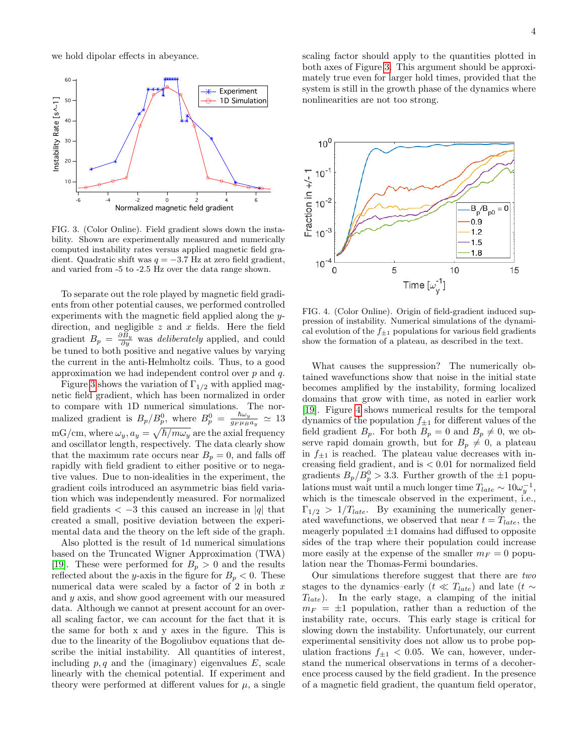we hold dipolar effects in abeyance.



<span id="page-3-0"></span>FIG. 3. (Color Online). Field gradient slows down the instability. Shown are experimentally measured and numerically computed instability rates versus applied magnetic field gradient. Quadratic shift was  $q = -3.7$  Hz at zero field gradient, and varied from -5 to -2.5 Hz over the data range shown.

To separate out the role played by magnetic field gradients from other potential causes, we performed controlled experiments with the magnetic field applied along the ydirection, and negligible  $z$  and  $x$  fields. Here the field gradient  $B_p = \frac{\partial B_y}{\partial y}$  was *deliberately* applied, and could be tuned to both positive and negative values by varying the current in the anti-Helmholtz coils. Thus, to a good approximation we had independent control over  $p$  and  $q$ .

Figure [3](#page-3-0) shows the variation of  $\Gamma_{1/2}$  with applied magnetic field gradient, which has been normalized in order to compare with 1D numerical simulations. The normalized gradient is  $B_p/B_p^0$ , where  $B_p^0 = \frac{\hbar\omega_y}{q_F\mu_B}$  $\frac{n\omega_y}{g_F \mu_B a_y} \simeq 13$ mG/cm, where  $\omega_y$ ,  $a_y = \sqrt{\hbar/m\omega_y}$  are the axial frequency and oscillator length, respectively. The data clearly show that the maximum rate occurs near  $B_p = 0$ , and falls off rapidly with field gradient to either positive or to negative values. Due to non-idealities in the experiment, the gradient coils introduced an asymmetric bias field variation which was independently measured. For normalized field gradients  $\langle -3 \rangle$  this caused an increase in |q| that created a small, positive deviation between the experimental data and the theory on the left side of the graph.

Also plotted is the result of 1d numerical simulations based on the Truncated Wigner Approximation (TWA) [\[19\]](#page-4-9). These were performed for  $B_p > 0$  and the results reflected about the y-axis in the figure for  $B_p < 0$ . These numerical data were scaled by a factor of  $2$  in both  $x$ and y axis, and show good agreement with our measured data. Although we cannot at present account for an overall scaling factor, we can account for the fact that it is the same for both x and y axes in the figure. This is due to the linearity of the Bogoliubov equations that describe the initial instability. All quantities of interest, including  $p, q$  and the (imaginary) eigenvalues  $E$ , scale linearly with the chemical potential. If experiment and theory were performed at different values for  $\mu$ , a single scaling factor should apply to the quantities plotted in both axes of Figure [3.](#page-3-0) This argument should be approximately true even for larger hold times, provided that the system is still in the growth phase of the dynamics where nonlinearities are not too strong.



<span id="page-3-1"></span>FIG. 4. (Color Online). Origin of field-gradient induced suppression of instability. Numerical simulations of the dynamical evolution of the  $f_{\pm 1}$  populations for various field gradients show the formation of a plateau, as described in the text.

What causes the suppression? The numerically obtained wavefunctions show that noise in the initial state becomes amplified by the instability, forming localized domains that grow with time, as noted in earlier work [\[19\]](#page-4-9). Figure [4](#page-3-1) shows numerical results for the temporal dynamics of the population  $f_{\pm 1}$  for different values of the field gradient  $B_p$ . For both  $B_p = 0$  and  $B_p \neq 0$ , we observe rapid domain growth, but for  $B_p \neq 0$ , a plateau in  $f_{\pm 1}$  is reached. The plateau value decreases with increasing field gradient, and is < 0.01 for normalized field gradients  $B_p/B_p^0 > 3.3$ . Further growth of the  $\pm 1$  populations must wait until a much longer time  $T_{late} \sim 10 \omega_y^{-1}$ , which is the timescale observed in the experiment, i.e.,  $\Gamma_{1/2} > 1/T_{late}$ . By examining the numerically generated wavefunctions, we observed that near  $t = T_{late}$ , the meagerly populated  $\pm 1$  domains had diffused to opposite sides of the trap where their population could increase more easily at the expense of the smaller  $m_F = 0$  population near the Thomas-Fermi boundaries.

Our simulations therefore suggest that there are two stages to the dynamics–early ( $t \ll T_{late}$ ) and late ( $t \sim$  $T_{late}$ ). In the early stage, a clamping of the initial  $m_F = \pm 1$  population, rather than a reduction of the instability rate, occurs. This early stage is critical for slowing down the instability. Unfortunately, our current experimental sensitivity does not allow us to probe population fractions  $f_{\pm 1}$  < 0.05. We can, however, understand the numerical observations in terms of a decoherence process caused by the field gradient. In the presence of a magnetic field gradient, the quantum field operator,